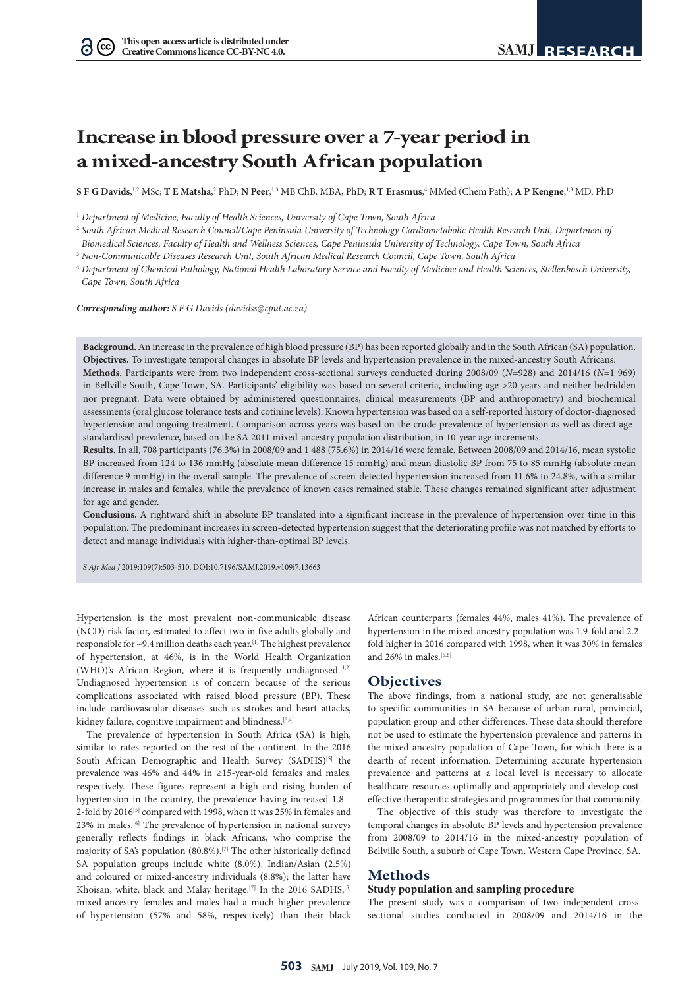# **Increase in blood pressure over a 7-year period in a mixed-ancestry South African population**

**S F G Davids**, 1,2 MSc; **T E Matsha**, 2 PhD; **N Peer**, 1,3 MB ChB, MBA, PhD; **R T Erasmus**, 4 MMed (Chem Path); **A P Kengne**, 1,3 MD, PhD

<sup>1</sup> *Department of Medicine, Faculty of Health Sciences, University of Cape Town, South Africa*

<sup>2</sup> *South African Medical Research Council/Cape Peninsula University of Technology Cardiometabolic Health Research Unit, Department of Biomedical Sciences, Faculty of Health and Wellness Sciences, Cape Peninsula University of Technology, Cape Town, South Africa*

<sup>3</sup> *Non-Communicable Diseases Research Unit, South African Medical Research Council, Cape Town, South Africa*

<sup>4</sup> *Department of Chemical Pathology, National Health Laboratory Service and Faculty of Medicine and Health Sciences, Stellenbosch University, Cape Town, South Africa*

*Corresponding author: S F G Davids (davidss@cput.ac.za)*

**Background.** An increase in the prevalence of high blood pressure (BP) has been reported globally and in the South African (SA) population. **Objectives.** To investigate temporal changes in absolute BP levels and hypertension prevalence in the mixed-ancestry South Africans.

**Methods.** Participants were from two independent cross-sectional surveys conducted during 2008/09 (*N*=928) and 2014/16 (*N*=1 969) in Bellville South, Cape Town, SA. Participants' eligibility was based on several criteria, including age >20 years and neither bedridden nor pregnant. Data were obtained by administered questionnaires, clinical measurements (BP and anthropometry) and biochemical assessments (oral glucose tolerance tests and cotinine levels). Known hypertension was based on a self-reported history of doctor-diagnosed hypertension and ongoing treatment. Comparison across years was based on the crude prevalence of hypertension as well as direct agestandardised prevalence, based on the SA 2011 mixed-ancestry population distribution, in 10-year age increments.

**Results.** In all, 708 participants (76.3%) in 2008/09 and 1 488 (75.6%) in 2014/16 were female. Between 2008/09 and 2014/16, mean systolic BP increased from 124 to 136 mmHg (absolute mean difference 15 mmHg) and mean diastolic BP from 75 to 85 mmHg (absolute mean difference 9 mmHg) in the overall sample. The prevalence of screen-detected hypertension increased from 11.6% to 24.8%, with a similar increase in males and females, while the prevalence of known cases remained stable. These changes remained significant after adjustment for age and gender.

**Conclusions.** A rightward shift in absolute BP translated into a significant increase in the prevalence of hypertension over time in this population. The predominant increases in screen-detected hypertension suggest that the deteriorating profile was not matched by efforts to detect and manage individuals with higher-than-optimal BP levels.

*S Afr Med J* 2019;109(7):503-510. DOI:10.7196/SAMJ.2019.v109i7.13663

Hypertension is the most prevalent non-communicable disease (NCD) risk factor, estimated to affect two in five adults globally and responsible for ~9.4 million deaths each year.<sup>[1]</sup> The highest prevalence of hypertension, at 46%, is in the World Health Organization (WHO)'s African Region, where it is frequently undiagnosed.<sup>[1,2]</sup> Undiagnosed hypertension is of concern because of the serious complications associated with raised blood pressure (BP). These include cardiovascular diseases such as strokes and heart attacks, kidney failure, cognitive impairment and blindness.<sup>[3,4]</sup>

The prevalence of hypertension in South Africa (SA) is high, similar to rates reported on the rest of the continent. In the 2016 South African Demographic and Health Survey (SADHS)<sup>[5]</sup> the prevalence was 46% and 44% in ≥15-year-old females and males, respectively. These figures represent a high and rising burden of hypertension in the country, the prevalence having increased 1.8 - 2-fold by 2016<sup>[5]</sup> compared with 1998, when it was 25% in females and 23% in males.[6] The prevalence of hypertension in national surveys generally reflects findings in black Africans, who comprise the majority of SA's population (80.8%).[7] The other historically defined SA population groups include white (8.0%), Indian/Asian (2.5%) and coloured or mixed-ancestry individuals (8.8%); the latter have Khoisan, white, black and Malay heritage.<sup>[7]</sup> In the 2016 SADHS,<sup>[5]</sup> mixed-ancestry females and males had a much higher prevalence of hypertension (57% and 58%, respectively) than their black

African counterparts (females 44%, males 41%). The prevalence of hypertension in the mixed-ancestry population was 1.9-fold and 2.2 fold higher in 2016 compared with 1998, when it was 30% in females and  $26\%$  in males.<sup>[5,6]</sup>

# **Objectives**

The above findings, from a national study, are not generalisable to specific communities in SA because of urban-rural, provincial, population group and other differences. These data should therefore not be used to estimate the hypertension prevalence and patterns in the mixed-ancestry population of Cape Town, for which there is a dearth of recent information. Determining accurate hypertension prevalence and patterns at a local level is necessary to allocate healthcare resources optimally and appropriately and develop costeffective therapeutic strategies and programmes for that community.

The objective of this study was therefore to investigate the temporal changes in absolute BP levels and hypertension prevalence from 2008/09 to 2014/16 in the mixed-ancestry population of Bellville South, a suburb of Cape Town, Western Cape Province, SA.

# **Methods**

#### **Study population and sampling procedure**

The present study was a comparison of two independent crosssectional studies conducted in 2008/09 and 2014/16 in the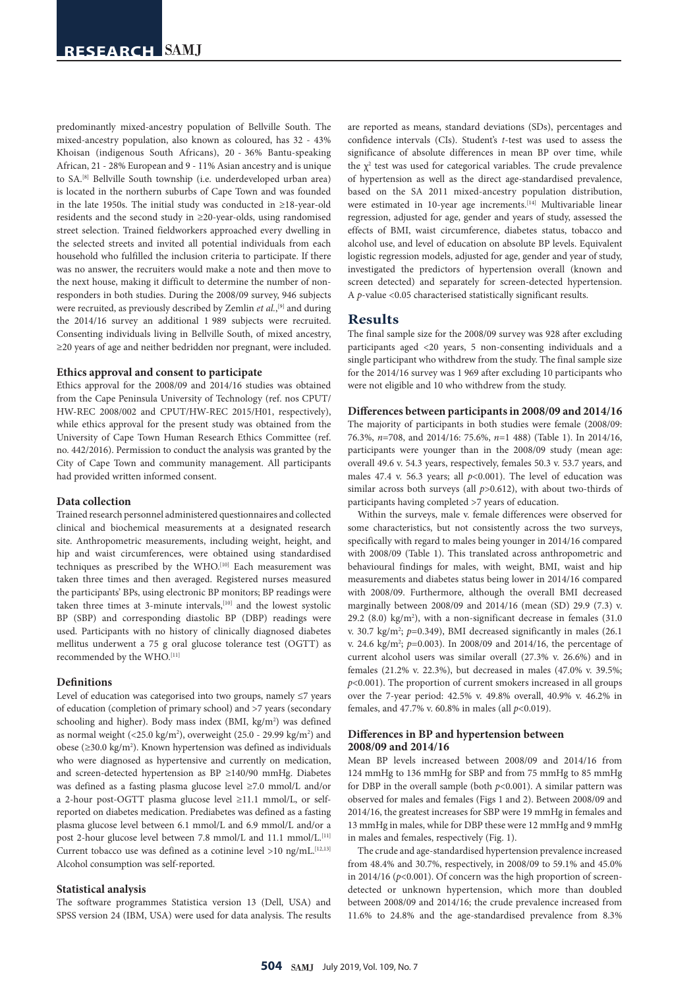predominantly mixed-ancestry population of Bellville South. The mixed-ancestry population, also known as coloured, has 32 - 43% Khoisan (indigenous South Africans), 20 - 36% Bantu-speaking African, 21 - 28% European and 9 - 11% Asian ancestry and is unique to SA.[8] Bellville South township (i.e. underdeveloped urban area) is located in the northern suburbs of Cape Town and was founded in the late 1950s. The initial study was conducted in ≥18-year-old residents and the second study in ≥20-year-olds, using randomised street selection. Trained fieldworkers approached every dwelling in the selected streets and invited all potential individuals from each household who fulfilled the inclusion criteria to participate. If there was no answer, the recruiters would make a note and then move to the next house, making it difficult to determine the number of nonresponders in both studies. During the 2008/09 survey, 946 subjects were recruited, as previously described by Zemlin *et al.*,<sup>[9]</sup> and during the 2014/16 survey an additional 1 989 subjects were recruited. Consenting individuals living in Bellville South, of mixed ancestry, ≥20 years of age and neither bedridden nor pregnant, were included.

#### **Ethics approval and consent to participate**

Ethics approval for the 2008/09 and 2014/16 studies was obtained from the Cape Peninsula University of Technology (ref. nos CPUT/ HW-REC 2008/002 and CPUT/HW-REC 2015/H01, respectively), while ethics approval for the present study was obtained from the University of Cape Town Human Research Ethics Committee (ref. no. 442/2016). Permission to conduct the analysis was granted by the City of Cape Town and community management. All participants had provided written informed consent.

#### **Data collection**

Trained research personnel administered questionnaires and collected clinical and biochemical measurements at a designated research site. Anthropometric measurements, including weight, height, and hip and waist circumferences, were obtained using standardised techniques as prescribed by the WHO.<sup>[10]</sup> Each measurement was taken three times and then averaged. Registered nurses measured the participants' BPs, using electronic BP monitors; BP readings were taken three times at 3-minute intervals,<sup>[10]</sup> and the lowest systolic BP (SBP) and corresponding diastolic BP (DBP) readings were used. Participants with no history of clinically diagnosed diabetes mellitus underwent a 75 g oral glucose tolerance test (OGTT) as recommended by the WHO.[11]

#### **Definitions**

Level of education was categorised into two groups, namely ≤7 years of education (completion of primary school) and >7 years (secondary schooling and higher). Body mass index (BMI, kg/m<sup>2</sup>) was defined as normal weight  $(<25.0 \text{ kg/m}^2)$ , overweight  $(25.0 - 29.99 \text{ kg/m}^2)$  and obese (≥30.0 kg/m<sup>2</sup>). Known hypertension was defined as individuals who were diagnosed as hypertensive and currently on medication, and screen-detected hypertension as BP ≥140/90 mmHg. Diabetes was defined as a fasting plasma glucose level ≥7.0 mmol/L and/or a 2-hour post-OGTT plasma glucose level ≥11.1 mmol/L, or selfreported on diabetes medication. Prediabetes was defined as a fasting plasma glucose level between 6.1 mmol/L and 6.9 mmol/L and/or a post 2-hour glucose level between 7.8 mmol/L and 11.1 mmol/L.<sup>[11]</sup> Current tobacco use was defined as a cotinine level >10 ng/mL.<sup>[12,13]</sup> Alcohol consumption was self-reported.

#### **Statistical analysis**

The software programmes Statistica version 13 (Dell, USA) and SPSS version 24 (IBM, USA) were used for data analysis. The results

are reported as means, standard deviations (SDs), percentages and confidence intervals (CIs). Student's *t*-test was used to assess the significance of absolute differences in mean BP over time, while the  $\chi^2$  test was used for categorical variables. The crude prevalence of hypertension as well as the direct age-standardised prevalence, based on the SA 2011 mixed-ancestry population distribution, were estimated in 10-year age increments.<sup>[14]</sup> Multivariable linear regression, adjusted for age, gender and years of study, assessed the effects of BMI, waist circumference, diabetes status, tobacco and alcohol use, and level of education on absolute BP levels. Equivalent logistic regression models, adjusted for age, gender and year of study, investigated the predictors of hypertension overall (known and screen detected) and separately for screen-detected hypertension. A *p*-value <0.05 characterised statistically significant results.

# **Results**

The final sample size for the 2008/09 survey was 928 after excluding participants aged <20 years, 5 non-consenting individuals and a single participant who withdrew from the study. The final sample size for the 2014/16 survey was 1 969 after excluding 10 participants who were not eligible and 10 who withdrew from the study.

#### **Differences between participants in 2008/09 and 2014/16**

The majority of participants in both studies were female (2008/09: 76.3%, *n*=708, and 2014/16: 75.6%, *n*=1 488) (Table 1). In 2014/16, participants were younger than in the 2008/09 study (mean age: overall 49.6 v. 54.3 years, respectively, females 50.3 v. 53.7 years, and males 47.4 v. 56.3 years; all  $p$ <0.001). The level of education was similar across both surveys (all  $p$ >0.612), with about two-thirds of participants having completed >7 years of education.

Within the surveys, male v. female differences were observed for some characteristics, but not consistently across the two surveys, specifically with regard to males being younger in 2014/16 compared with 2008/09 (Table 1). This translated across anthropometric and behavioural findings for males, with weight, BMI, waist and hip measurements and diabetes status being lower in 2014/16 compared with 2008/09. Furthermore, although the overall BMI decreased marginally between 2008/09 and 2014/16 (mean (SD) 29.9 (7.3) v.  $29.2$  (8.0) kg/m<sup>2</sup>), with a non-significant decrease in females (31.0) v.  $30.7 \text{ kg/m}^2$ ;  $p=0.349$ ), BMI decreased significantly in males (26.1) v. 24.6 kg/m<sup>2</sup>; p=0.003). In 2008/09 and 2014/16, the percentage of current alcohol users was similar overall (27.3% v. 26.6%) and in females (21.2% v. 22.3%), but decreased in males (47.0% v. 39.5%; *p*<0.001). The proportion of current smokers increased in all groups over the 7-year period: 42.5% v. 49.8% overall, 40.9% v. 46.2% in females, and 47.7% v. 60.8% in males (all *p*<0.019).

## **Differences in BP and hypertension between 2008/09 and 2014/16**

Mean BP levels increased between 2008/09 and 2014/16 from 124 mmHg to 136 mmHg for SBP and from 75 mmHg to 85 mmHg for DBP in the overall sample (both  $p$ <0.001). A similar pattern was observed for males and females (Figs 1 and 2). Between 2008/09 and 2014/16, the greatest increases for SBP were 19 mmHg in females and 13 mmHg in males, while for DBP these were 12 mmHg and 9 mmHg in males and females, respectively (Fig. 1).

The crude and age-standardised hypertension prevalence increased from 48.4% and 30.7%, respectively, in 2008/09 to 59.1% and 45.0% in 2014/16 (*p*<0.001). Of concern was the high proportion of screendetected or unknown hypertension, which more than doubled between 2008/09 and 2014/16; the crude prevalence increased from 11.6% to 24.8% and the age-standardised prevalence from 8.3%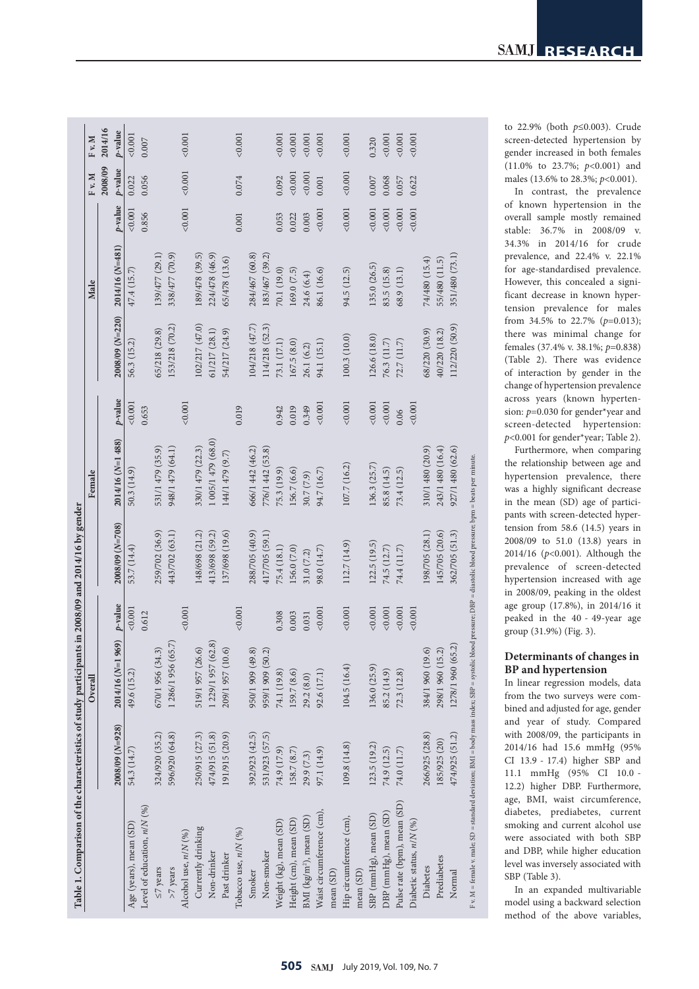|                 | Overall            |         |                 | Female             |         |                 | Male            |         | 2008/09<br>F v. M | 2014/16<br>Fv.M |
|-----------------|--------------------|---------|-----------------|--------------------|---------|-----------------|-----------------|---------|-------------------|-----------------|
| 2008/09 (N=928) | 2014/16 (N=1969)   | p-value | 2008/09 (N=708) | 2014/16 (N=1 488)  | p-value | 2008/09 (N=220) | 2014/16 (N=481) | p-value | p-value           | p-value         |
| 54.3 (14.7)     | 49.6 (15.2)        | 0.001   | 53.7 (14.4)     | 50.3 (14.9)        | < 0.001 | 56.3 (15.2)     | 47.4 (15.7)     | 0.001   | 0.022             | 0.001           |
|                 |                    | 0.612   |                 |                    | 0.653   |                 |                 | 0.856   | 0.056             | 0.007           |
| 324/920 (35.2)  | 670/1956 (34.3)    |         | 259/702 (36.9)  | 531/1 479 (35.9)   |         | 65/218 (29.8)   | 139/477 (29.1)  |         |                   |                 |
| 596/920 (64.8)  | 1 286/1 956 (65.7) |         | 443/702 (63.1)  | 948/1 479 (64.1)   |         | 153/218 (70.2)  | 338/477 (70.9)  |         |                   |                 |
|                 |                    | < 0.001 |                 |                    | < 0.001 |                 |                 | 0.001   | 0.001             | < 0.001         |
| 250/915 (27.3)  | 519/1957 (26.6)    |         | 148/698 (21.2)  | 330/1479 (22.3)    |         | 102/217 (47.0)  | 189/478 (39.5)  |         |                   |                 |
| 474/915 (51.8)  | 1 229/1 957 (62.8) |         | 413/698 (59.2)  | 1 005/1 479 (68.0) |         | 61/217(28.1)    | 224/478 (46.9)  |         |                   |                 |
| 191/915 (20.9)  | 209/1957 (10.6)    |         | 137/698 (19.6)  | 144/1479 (9.7)     |         | 54/217 (24.9)   | 65/478 (13.6)   |         |                   |                 |
|                 |                    | < 0.001 |                 |                    | 0.019   |                 |                 | 0.001   | 0.074             | 0.001           |
| 392/923 (42.5)  | 950/1909 (49.8)    |         | 288/705 (40.9)  | 666/1 442 (46.2)   |         | 104/218 (47.7)  | 284/467 (60.8)  |         |                   |                 |
| 531/923 (57.5)  | 959/1 909 (50.2    |         | 417/705 (59.1)  | 776/1 442 (53.8)   |         | 114/218 (52.3)  | 183/467 (39.2)  |         |                   |                 |
| 74.9 (17.9)     | 74.1 (19.8)        | 0.308   | 75.4 (18.1)     | 75.3 (19.9)        | 0.942   | 73.1 (17.1)     | 70.1 (19.0)     | 0.053   | 0.092             | 0.001           |
| 158.7 (8.7)     | 159.7 (8.6)        | 0.003   | 56.0 (7.0)      | 156.7 (6.6)        | 0.019   | 167.5 (8.0)     | 169.0 (7.5)     | 0.022   | < 0.001           | 0.001           |
| 29.9 (7.3)      | 29.2(8.0)          | 0.031   | 31.0(7.2)       | 30.7 (7.9)         | 0.349   | 26.1(6.2)       | 24.6 (6.4)      | 0.003   | 0.001             | 0.001           |
| 97.1 (14.9)     | 92.6 (17.1)        | < 0.001 | 98.0 (14.7)     | 94.7 (16.7)        | 0.001   | 94.1 (15.1)     | 86.1 (16.6)     | 0.001   | 0.001             | 0.001           |
|                 |                    |         |                 |                    |         |                 |                 |         |                   |                 |
| 109.8 (14.8)    | 104.5 (16.4)       | < 0.001 | 112.7 (14.9)    | 107.7 (16.2)       | 0.001   | 100.3(10.0)     | 94.5 (12.5)     | 0.001   | 0.001             | 0.001           |
| 123.5 (19.2)    | 136.0 (25.9)       | < 0.001 | 122.5 (19.5)    | 136.3 (25.7)       | 0.001   | 126.6 (18.0)    | 135.0 (26.5)    | 0.001   | 0.007             | 0.320           |
| 74.9 (12.5)     | 85.2 (14.9)        | 0.001   | 74.5 (12.7)     | 85.8 (14.5)        | 0.001   | 76.3 (11.7)     | 83.5 (15.8)     | 0.001   | 0.068             | 0.001           |
| 74.0 (11.7)     | 72.3 (12.8)        | 0.001   | 74.4 (11.7)     | 73.4 (12.5)        | 0.06    | 72.7 (11.7)     | 68.9 (13.1)     | 0.001   | 0.057             | 0.001           |
|                 |                    | < 0.001 |                 |                    | < 0.001 |                 |                 | 0.001   | 0.622             | < 0.001         |
| 266/925 (28.8)  | 384/1960 (19.6)    |         | 198/705 (28.1)  | 310/1480 (20.9)    |         | 68/220 (30.9)   | 74/480 (15.4)   |         |                   |                 |
| 185/925 (20)    | 298/1960 (15.2)    |         | 145/705 (20.6)  | 243/1 480 (16.4)   |         | 40/220 (18.2)   | 55/480 (11.5)   |         |                   |                 |
| 474/925 (51.2)  | 1278/1 960 (65.2)  |         | 362/705 (51.3)  | 927/1480 (62.6)    |         | 112/220 (50.9)  | 351/480 (73.1)  |         |                   |                 |

to 22.9% (both *p*≤0.003). Crude screen-detected hypertension by gender increased in both females (11.0% to 23.7%; *p*<0.001) and males (13.6% to 28.3%; *p*<0.001).

In contrast, the prevalence of known hypertension in the overall sample mostly remained stable: 36.7% in 2008/09 v. 34.3% in 2014/16 for crude prevalence, and 22.4% v. 22.1% for age-standardised prevalence. However, this concealed a signi ficant decrease in known hyper tension prevalence for males from 34.5% to 22.7% (*p*=0.013); there was minimal change for females (37.4% v. 38.1%; *p*=0.838) (Table 2). There was evidence of interaction by gender in the change of hypertension prevalence across years (known hyperten sion: *p*=0.030 for gender\*year and screen-detected hypertension: *p*<0.001 for gender\*year; Table 2).

Furthermore, when comparing the relationship between age and hypertension prevalence, there was a highly significant decrease in the mean (SD) age of partici pants with screen-detected hyper tension from 58.6 (14.5) years in 2008/09 to 51.0 (13.8) years in 2014/16 (*p*<0.001). Although the prevalence of screen-detected hypertension increased with age in 2008/09, peaking in the oldest age group (17.8%), in 2014/16 it peaked in the 40 - 49-year age group (31.9%) (Fig. 3).

## **Determinants of changes in BP and hypertension**

In linear regression models, data from the two surveys were com bined and adjusted for age, gender and year of study. Compared with 2008/09, the participants in 2014/16 had 15.6 mmHg (95% CI 13.9 - 17.4) higher SBP and 11.1 mmHg (95% CI 10.0 - 12.2) higher DBP. Furthermore, age, BMI, waist circumference, diabetes, prediabetes, current smoking and current alcohol use were associated with both SBP and DBP, while higher education level was inversely associated with SBP (Table 3).

In an expanded multivariable model using a backward selection method of the above variables,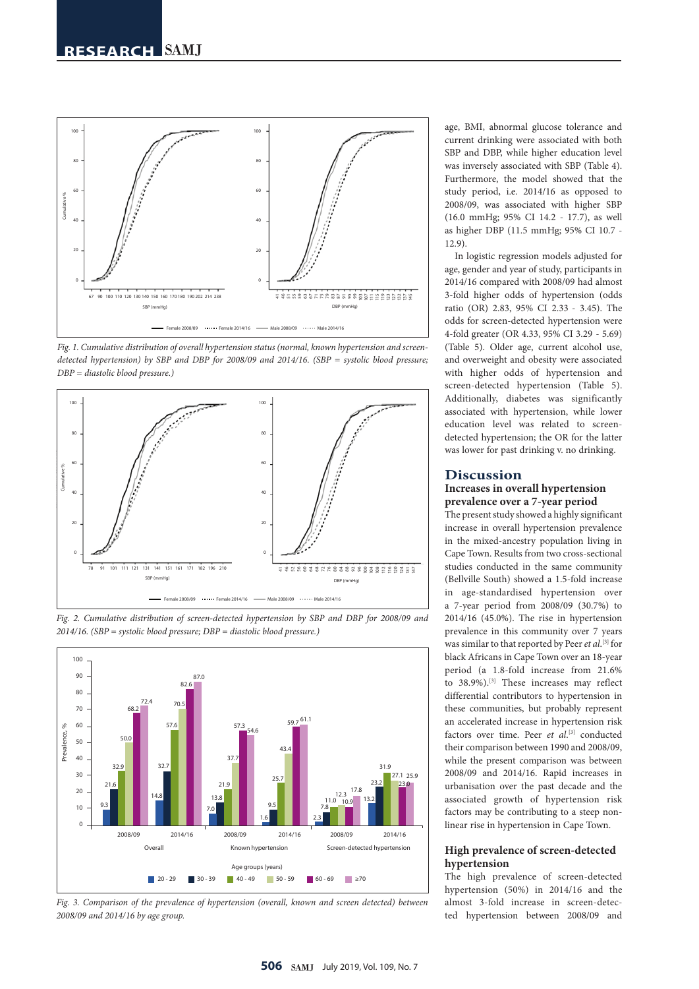

*Fig. 1. Cumulative distribution of overall hypertension status (normal, known hypertension and screendetected hypertension) by SBP and DBP for 2008/09 and 2014/16. (SBP = systolic blood pressure; DBP = diastolic blood pressure.)*



*Fig. 2. Cumulative distribution of screen-detected hypertension by SBP and DBP for 2008/09 and 2014/16. (SBP = systolic blood pressure; DBP = diastolic blood pressure.)*



*Fig. 3. Comparison of the prevalence of hypertension (overall, known and screen detected) between*  2008/09 and 2014/16 by age group.

age, BMI, abnormal glucose tolerance and current drinking were associated with both SBP and DBP, while higher education level was inversely associated with SBP (Table 4). Furthermore, the model showed that the study period, i.e. 2014/16 as opposed to 2008/09, was associated with higher SBP (16.0 mmHg; 95% CI 14.2 - 17.7), as well as higher DBP (11.5 mmHg; 95% CI 10.7 - 12.9).

In logistic regression models adjusted for age, gender and year of study, participants in 2014/16 compared with 2008/09 had almost 3-fold higher odds of hypertension (odds ratio (OR) 2.83, 95% CI 2.33 - 3.45). The odds for screen-detected hypertension were 4-fold greater (OR 4.33, 95% CI 3.29 - 5.69) (Table 5). Older age, current alcohol use, and overweight and obesity were associated with higher odds of hypertension and screen-detected hypertension (Table 5). Additionally, diabetes was significantly associated with hypertension, while lower education level was related to screendetected hypertension; the OR for the latter was lower for past drinking v. no drinking.

# **Discussion**

# **Increases in overall hypertension prevalence over a 7-year period**

The present study showed a highly significant increase in overall hypertension prevalence in the mixed-ancestry population living in Cape Town. Results from two cross-sectional studies conducted in the same community (Bellville South) showed a 1.5-fold increase in age-standardised hypertension over a 7-year period from 2008/09 (30.7%) to 2014/16 (45.0%). The rise in hypertension prevalence in this community over 7 years was similar to that reported by Peer *et al*. [3] for black Africans in Cape Town over an 18-year period (a 1.8-fold increase from 21.6% to 38.9%).<sup>[3]</sup> These increases may reflect differential contributors to hypertension in these communities, but probably represent an accelerated increase in hypertension risk factors over time. Peer et al.<sup>[3]</sup> conducted their comparison between 1990 and 2008/09, while the present comparison was between 2008/09 and 2014/16. Rapid increases in urbanisation over the past decade and the associated growth of hypertension risk factors may be contributing to a steep nonlinear rise in hypertension in Cape Town.

# **High prevalence of screen-detected hypertension**

The high prevalence of screen-detected hypertension (50%) in 2014/16 and the almost 3-fold increase in screen-detected hypertension between 2008/09 and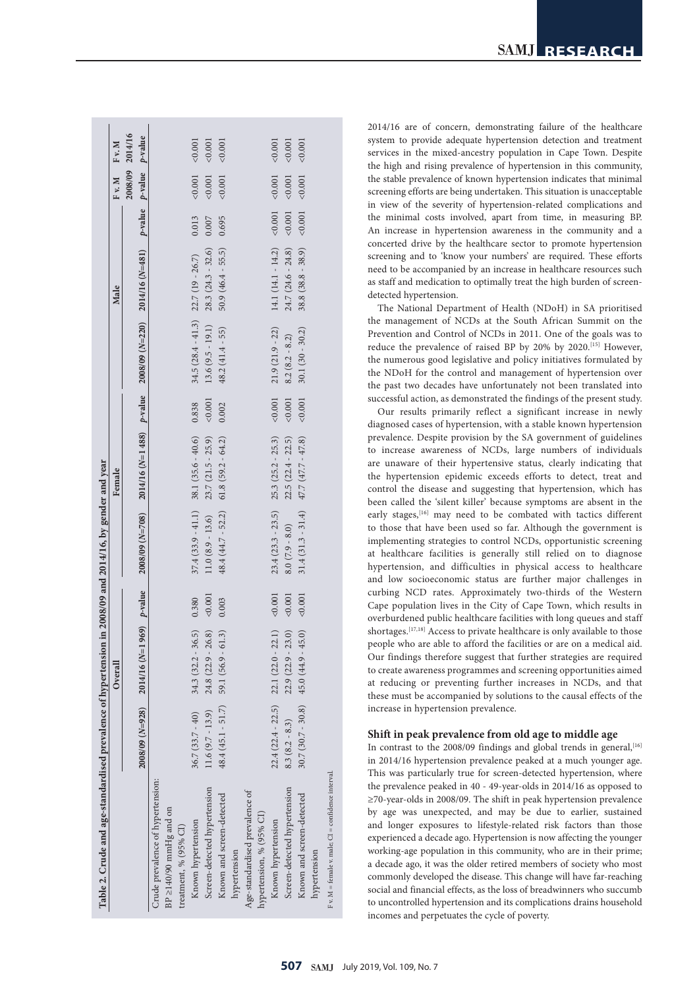| Table 2. Crude and age-standardised prevalence of hypertension in 2008/09 and 2014/16, by gender and year |                     |                                                                                                                                            |         |                     |                                         |        |                    |                                            |         |                     |         |
|-----------------------------------------------------------------------------------------------------------|---------------------|--------------------------------------------------------------------------------------------------------------------------------------------|---------|---------------------|-----------------------------------------|--------|--------------------|--------------------------------------------|---------|---------------------|---------|
|                                                                                                           |                     | Overall                                                                                                                                    |         |                     | Female                                  |        |                    | Male                                       |         | F v. M F v. M       |         |
|                                                                                                           |                     | 2008/09 (N=928) 2014/16 (N=1969) p-value 2008/09 (N=708) 2014/16 (N=1488) p-value 2008/09 (N=2220) 2014/16 (N=481) p-value p-value p-value |         |                     |                                         |        |                    |                                            |         | 2008/09 2014/16     |         |
| Crude prevalence of hypertension:<br>BP $\geq$ 140/90 mmHg and on<br>treatment, % (95% CI)                |                     |                                                                                                                                            |         |                     |                                         |        |                    |                                            |         |                     |         |
| Known hypertension                                                                                        | $36.7(33.7 - 40)$   | $34.3(32.2 - 36.5)$                                                                                                                        | 0.380   |                     | $37.4(33.9 - 41.1)$ $38.1(35.6 - 40.6)$ | 0.838  |                    | $34.5(28.4 - 41.3)$ $22.7(19 - 26.7)$      | 0.013   | $< 0.001$ $< 0.001$ |         |
| Screen-detected hypertension                                                                              | $11.6(9.7 - 13.9)$  | $24.8(22.9 - 26.8)$                                                                                                                        | < 0.001 | $11.0(8.9 - 13.6)$  | $23.7(21.5 - 25.9)$                     | 0.001  | $13.6(9.5 - 19.1)$ | $28.3(24.3 - 32.6)$                        | $0.007$ | < 0.001             | 0.001   |
| Known and screen-detected                                                                                 | $48.4(45.1 - 51.7)$ | $59.1(56.9 - 61.3)$                                                                                                                        | 0.003   | $48.4(44.7 - 52.2)$ | $61.8(59.2 - 64.2)$                     | 0.002  | $48.2(41.4 - 55)$  | $50.9(46.4 - 55.5)$                        | 0.695   | < 0.001             | 0.001   |
| hypertension                                                                                              |                     |                                                                                                                                            |         |                     |                                         |        |                    |                                            |         |                     |         |
| Age-standardised prevalence of<br>hypertension, % (95% CI)                                                |                     |                                                                                                                                            |         |                     |                                         |        |                    |                                            |         |                     |         |
| Known hypertension                                                                                        |                     | $22.4 (22.4 - 22.5)$ $22.1 (22.0 - 22.1)$ <0.001                                                                                           |         |                     | $23.4(23.3 - 23.5)$ $25.3(25.2 - 25.3)$ | 0.001  | $21.9(21.9 - 22)$  | 14.1 (14.1 - 14.2) < 0.001 < 0.001 < 0.001 |         |                     |         |
| Screen-detected hypertension                                                                              | $8.3(8.2 - 8.3)$    | $22.9(22.9 - 23.0)$                                                                                                                        | 0.001   | $8.0(7.9 - 8.0)$    | $22.5(22.4 - 22.5)$                     | 0.001  | $8.2(8.2-8.2)$     | $24.7(24.6 - 24.8)$                        |         | $0.001$ $0.001$     | 0.001   |
| Known and screen-detected                                                                                 |                     | $30.7 (30.7 - 30.8)$ $45.0 (44.9 - 45.0)$                                                                                                  | < 0.001 |                     | $31.4(31.3 - 31.4)$ $47.7(47.7 - 47.8)$ | &0.001 | 30.1 $(30 - 30.2)$ | $38.8(38.8 - 38.9)$                        |         | $< 0.001$ $< 0.001$ | < 0.001 |
| hypertension                                                                                              |                     |                                                                                                                                            |         |                     |                                         |        |                    |                                            |         |                     |         |
| F v. M = female v. male; CI = confidence interval.                                                        |                     |                                                                                                                                            |         |                     |                                         |        |                    |                                            |         |                     |         |

2014/16 are of concern, demonstrating failure of the healthcare system to provide adequate hypertension detection and treatment services in the mixed-ancestry population in Cape Town. Despite the high and rising prevalence of hypertension in this community, the stable prevalence of known hypertension indicates that minimal screening efforts are being undertaken. This situation is unacceptable in view of the severity of hypertension-related complications and the minimal costs involved, apart from time, in measuring BP. An increase in hypertension awareness in the community and a concerted drive by the healthcare sector to promote hypertension screening and to 'know your numbers' are required. These efforts need to be accompanied by an increase in healthcare resources such as staff and medication to optimally treat the high burden of screendetected hypertension.

The National Department of Health (NDoH) in SA prioritised the management of NCDs at the South African Summit on the Prevention and Control of NCDs in 2011. One of the goals was to reduce the prevalence of raised BP by 20% by 2020.[15] However, the numerous good legislative and policy initiatives formulated by the NDoH for the control and management of hypertension over the past two decades have unfortunately not been translated into successful action, as demonstrated the findings of the present study.

Our results primarily reflect a significant increase in newly diagnosed cases of hypertension, with a stable known hypertension prevalence. Despite provision by the SA government of guidelines to increase awareness of NCDs, large numbers of individuals are unaware of their hypertensive status, clearly indicating that the hypertension epidemic exceeds efforts to detect, treat and control the disease and suggesting that hypertension, which has been called the 'silent killer' because symptoms are absent in the early stages,<sup>[16]</sup> may need to be combated with tactics different to those that have been used so far. Although the government is implementing strategies to control NCDs, opportunistic screening at healthcare facilities is generally still relied on to diagnose hypertension, and difficulties in physical access to healthcare and low socioeconomic status are further major challenges in curbing NCD rates. Approximately two-thirds of the Western Cape population lives in the City of Cape Town, which results in overburdened public healthcare facilities with long queues and staff shortages.<sup>[17,18]</sup> Access to private healthcare is only available to those people who are able to afford the facilities or are on a medical aid. Our findings therefore suggest that further strategies are required to create awareness programmes and screening opportunities aimed at reducing or preventing further increases in NCDs, and that these must be accompanied by solutions to the causal effects of the increase in hypertension prevalence.

#### **Shift in peak prevalence from old age to middle age**

In contrast to the 2008/09 findings and global trends in general, [16] in 2014/16 hypertension prevalence peaked at a much younger age. This was particularly true for screen-detected hypertension, where the prevalence peaked in 40 - 49-year-olds in 2014/16 as opposed to ≥70-year-olds in 2008/09. The shift in peak hypertension prevalence by age was unexpected, and may be due to earlier, sustained and longer exposures to lifestyle-related risk factors than those experienced a decade ago. Hypertension is now affecting the younger working-age population in this community, who are in their prime; a decade ago, it was the older retired members of society who most commonly developed the disease. This change will have far-reaching social and financial effects, as the loss of breadwinners who succumb to uncontrolled hypertension and its complications drains household incomes and perpetuates the cycle of poverty.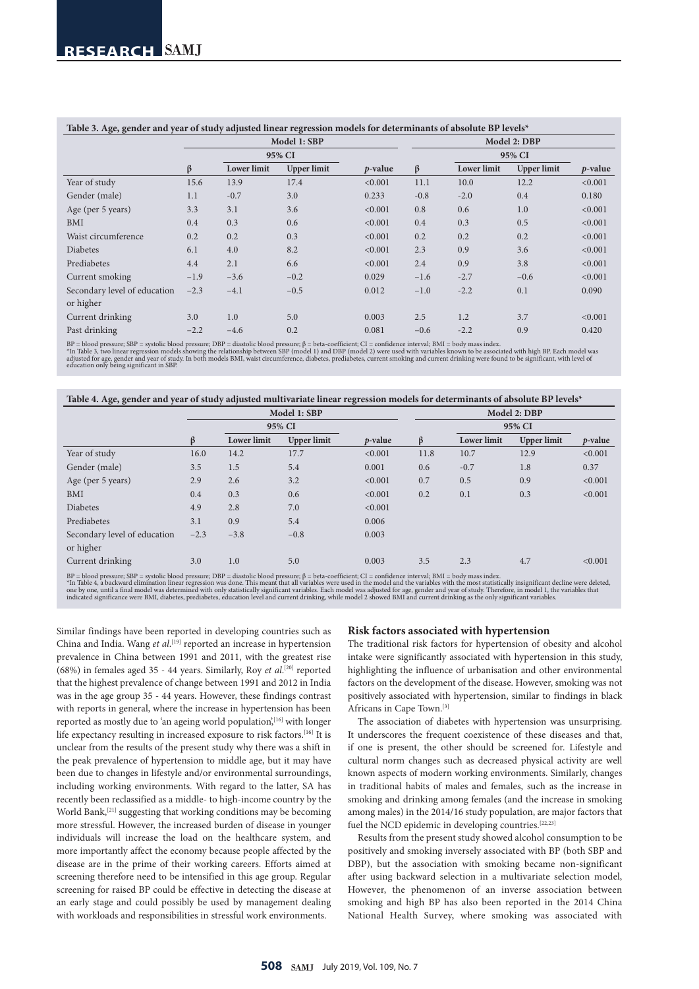| Table 3. Age, gender and year of study adjusted linear regression models for determinants of absolute BP levels* |        |                    | Model 1: SBP       |                 |         | Model 2: DBP       |                    |                 |  |  |
|------------------------------------------------------------------------------------------------------------------|--------|--------------------|--------------------|-----------------|---------|--------------------|--------------------|-----------------|--|--|
|                                                                                                                  |        |                    | 95% CI             |                 |         |                    | 95% CI             |                 |  |  |
|                                                                                                                  | β      | <b>Lower</b> limit | <b>Upper limit</b> | <i>p</i> -value | $\beta$ | <b>Lower limit</b> | <b>Upper limit</b> | <i>p</i> -value |  |  |
| Year of study                                                                                                    | 15.6   | 13.9               | 17.4               | < 0.001         | 11.1    | 10.0               | 12.2               | < 0.001         |  |  |
| Gender (male)                                                                                                    | 1.1    | $-0.7$             | 3.0                | 0.233           | $-0.8$  | $-2.0$             | 0.4                | 0.180           |  |  |
| Age (per 5 years)                                                                                                | 3.3    | 3.1                | 3.6                | < 0.001         | 0.8     | 0.6                | 1.0                | < 0.001         |  |  |
| <b>BMI</b>                                                                                                       | 0.4    | 0.3                | 0.6                | < 0.001         | 0.4     | 0.3                | 0.5                | < 0.001         |  |  |
| Waist circumference                                                                                              | 0.2    | 0.2                | 0.3                | < 0.001         | 0.2     | 0.2                | 0.2                | < 0.001         |  |  |
| Diabetes                                                                                                         | 6.1    | 4.0                | 8.2                | < 0.001         | 2.3     | 0.9                | 3.6                | < 0.001         |  |  |
| Prediabetes                                                                                                      | 4.4    | 2.1                | 6.6                | < 0.001         | 2.4     | 0.9                | 3.8                | < 0.001         |  |  |
| Current smoking                                                                                                  | $-1.9$ | $-3.6$             | $-0.2$             | 0.029           | $-1.6$  | $-2.7$             | $-0.6$             | < 0.001         |  |  |
| Secondary level of education                                                                                     | $-2.3$ | $-4.1$             | $-0.5$             | 0.012           | $-1.0$  | $-2.2$             | 0.1                | 0.090           |  |  |
| or higher                                                                                                        |        |                    |                    |                 |         |                    |                    |                 |  |  |
| Current drinking                                                                                                 | 3.0    | 1.0                | 5.0                | 0.003           | 2.5     | 1.2                | 3.7                | < 0.001         |  |  |
| Past drinking                                                                                                    | $-2.2$ | $-4.6$             | 0.2                | 0.081           | $-0.6$  | $-2.2$             | 0.9                | 0.420           |  |  |

BP = blood pressure; SBP = systolic blood pressure; DBP = diastolic blood pressure; β = beta-coefficient; CI = confidence interval; BMI = body mass index.<br>\*In Table 3, two linear regression models showing the relationship

| Table 4. Age, gender and year of study adjusted multivariate linear regression models for determinants of absolute BP levels* |  |  |  |  |
|-------------------------------------------------------------------------------------------------------------------------------|--|--|--|--|
|-------------------------------------------------------------------------------------------------------------------------------|--|--|--|--|

|                              |        |                    | Model 1: SBP       |            |      | Model 2: DBP       |                    |            |  |  |
|------------------------------|--------|--------------------|--------------------|------------|------|--------------------|--------------------|------------|--|--|
|                              |        |                    | 95% CI             |            |      |                    | 95% CI             |            |  |  |
|                              | ß      | <b>Lower</b> limit | <b>Upper limit</b> | $p$ -value | β    | <b>Lower</b> limit | <b>Upper limit</b> | $p$ -value |  |  |
| Year of study                | 16.0   | 14.2               | 17.7               | < 0.001    | 11.8 | 10.7               | 12.9               | < 0.001    |  |  |
| Gender (male)                | 3.5    | 1.5                | 5.4                | 0.001      | 0.6  | $-0.7$             | 1.8                | 0.37       |  |  |
| Age (per 5 years)            | 2.9    | 2.6                | 3.2                | < 0.001    | 0.7  | 0.5                | 0.9                | < 0.001    |  |  |
| BMI                          | 0.4    | 0.3                | 0.6                | < 0.001    | 0.2  | 0.1                | 0.3                | < 0.001    |  |  |
| Diabetes                     | 4.9    | 2.8                | 7.0                | < 0.001    |      |                    |                    |            |  |  |
| Prediabetes                  | 3.1    | 0.9                | 5.4                | 0.006      |      |                    |                    |            |  |  |
| Secondary level of education | $-2.3$ | $-3.8$             | $-0.8$             | 0.003      |      |                    |                    |            |  |  |
| or higher                    |        |                    |                    |            |      |                    |                    |            |  |  |
| Current drinking             | 3.0    | 1.0                | 5.0                | 0.003      | 3.5  | 2.3                | 4.7                | < 0.001    |  |  |
|                              |        |                    |                    |            |      |                    |                    |            |  |  |

BP = blood pressure; SBP = systolic blood pressure; DBP = diastolic blood pressure; β = beta-coefficient; CI = confidence interval; BMI = body mass index.<br>\*In Table 4, a backward elimination linear regression was done. Th

Similar findings have been reported in developing countries such as China and India. Wang *et al*. [19] reported an increase in hypertension prevalence in China between 1991 and 2011, with the greatest rise (68%) in females aged 35 - 44 years. Similarly, Roy *et al.*<sup>[20]</sup> reported that the highest prevalence of change between 1991 and 2012 in India was in the age group 35 - 44 years. However, these findings contrast with reports in general, where the increase in hypertension has been reported as mostly due to 'an ageing world population',<sup>[16]</sup> with longer life expectancy resulting in increased exposure to risk factors.<sup>[16]</sup> It is unclear from the results of the present study why there was a shift in the peak prevalence of hypertension to middle age, but it may have been due to changes in lifestyle and/or environmental surroundings, including working environments. With regard to the latter, SA has recently been reclassified as a middle- to high-income country by the World Bank,<sup>[21]</sup> suggesting that working conditions may be becoming more stressful. However, the increased burden of disease in younger individuals will increase the load on the healthcare system, and more importantly affect the economy because people affected by the disease are in the prime of their working careers. Efforts aimed at screening therefore need to be intensified in this age group. Regular screening for raised BP could be effective in detecting the disease at an early stage and could possibly be used by management dealing with workloads and responsibilities in stressful work environments.

#### **Risk factors associated with hypertension**

The traditional risk factors for hypertension of obesity and alcohol intake were significantly associated with hypertension in this study, highlighting the influence of urbanisation and other environmental factors on the development of the disease. However, smoking was not positively associated with hypertension, similar to findings in black Africans in Cape Town.[3]

The association of diabetes with hypertension was unsurprising. It underscores the frequent coexistence of these diseases and that, if one is present, the other should be screened for. Lifestyle and cultural norm changes such as decreased physical activity are well known aspects of modern working environments. Similarly, changes in traditional habits of males and females, such as the increase in smoking and drinking among females (and the increase in smoking among males) in the 2014/16 study population, are major factors that fuel the NCD epidemic in developing countries.<sup>[22,23]</sup>

Results from the present study showed alcohol consumption to be positively and smoking inversely associated with BP (both SBP and DBP), but the association with smoking became non-significant after using backward selection in a multivariate selection model, However, the phenomenon of an inverse association between smoking and high BP has also been reported in the 2014 China National Health Survey, where smoking was associated with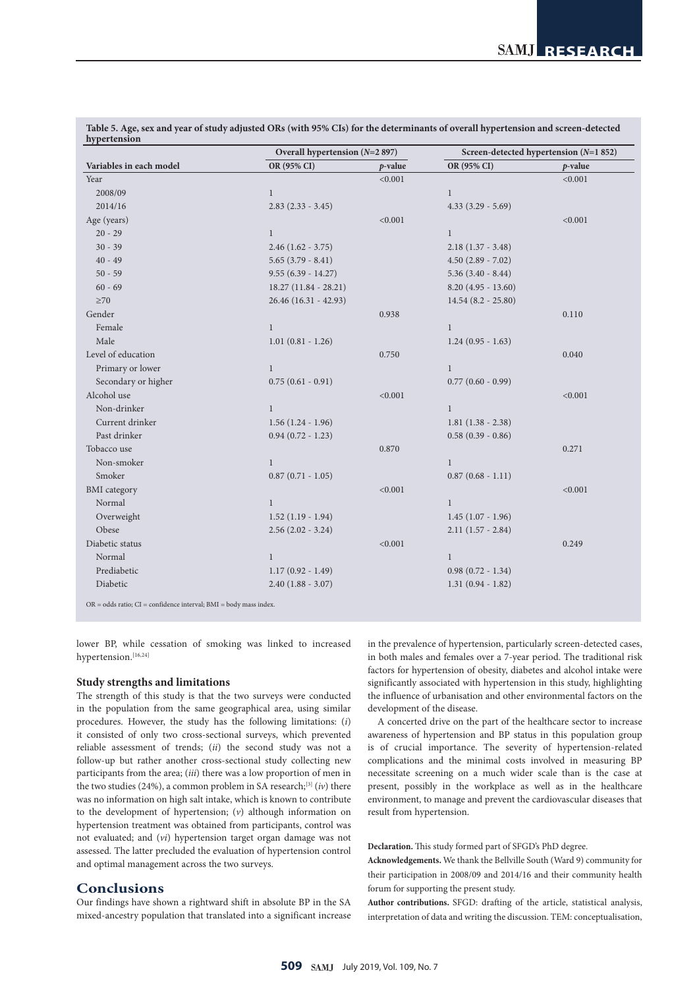|                                                                     | Overall hypertension (N=2 897) |            | Screen-detected hypertension (N=1 852) |            |  |
|---------------------------------------------------------------------|--------------------------------|------------|----------------------------------------|------------|--|
| Variables in each model                                             | OR (95% CI)                    | $p$ -value | OR (95% CI)                            | $p$ -value |  |
| Year                                                                |                                | < 0.001    |                                        | < 0.001    |  |
| 2008/09                                                             | $\mathbf{1}$                   |            | $\mathbf{1}$                           |            |  |
| 2014/16                                                             | $2.83(2.33 - 3.45)$            |            | $4.33(3.29 - 5.69)$                    |            |  |
| Age (years)                                                         |                                | < 0.001    |                                        | < 0.001    |  |
| $20 - 29$                                                           | $\mathbf{1}$                   |            | $\mathbf{1}$                           |            |  |
| $30 - 39$                                                           | $2.46(1.62 - 3.75)$            |            | $2.18(1.37 - 3.48)$                    |            |  |
| $40 - 49$                                                           | $5.65(3.79 - 8.41)$            |            | $4.50(2.89 - 7.02)$                    |            |  |
| $50 - 59$                                                           | $9.55(6.39 - 14.27)$           |            | $5.36(3.40 - 8.44)$                    |            |  |
| $60 - 69$                                                           | $18.27(11.84 - 28.21)$         |            | $8.20(4.95 - 13.60)$                   |            |  |
| $\geq 70$                                                           | 26.46 (16.31 - 42.93)          |            | $14.54(8.2 - 25.80)$                   |            |  |
| Gender                                                              |                                | 0.938      |                                        | 0.110      |  |
| Female                                                              | $\mathbf{1}$                   |            | $\mathbf{1}$                           |            |  |
| Male                                                                | $1.01(0.81 - 1.26)$            |            | $1.24(0.95 - 1.63)$                    |            |  |
| Level of education                                                  |                                | 0.750      |                                        | 0.040      |  |
| Primary or lower                                                    | $\mathbf{1}$                   |            | $\mathbf{1}$                           |            |  |
| Secondary or higher                                                 | $0.75(0.61 - 0.91)$            |            | $0.77(0.60 - 0.99)$                    |            |  |
| Alcohol use                                                         |                                | < 0.001    |                                        | < 0.001    |  |
| Non-drinker                                                         | $\mathbf{1}$                   |            | $\mathbf{1}$                           |            |  |
| Current drinker                                                     | $1.56(1.24 - 1.96)$            |            | $1.81(1.38 - 2.38)$                    |            |  |
| Past drinker                                                        | $0.94(0.72 - 1.23)$            |            | $0.58(0.39 - 0.86)$                    |            |  |
| Tobacco use                                                         |                                | 0.870      |                                        | 0.271      |  |
| Non-smoker                                                          | $\mathbf{1}$                   |            | $\mathbf{1}$                           |            |  |
| Smoker                                                              | $0.87(0.71 - 1.05)$            |            | $0.87(0.68 - 1.11)$                    |            |  |
| <b>BMI</b> category                                                 |                                | < 0.001    |                                        | < 0.001    |  |
| Normal                                                              | $\mathbf{1}$                   |            | $\mathbf{1}$                           |            |  |
| Overweight                                                          | $1.52(1.19 - 1.94)$            |            | $1.45(1.07 - 1.96)$                    |            |  |
| Obese                                                               | $2.56(2.02 - 3.24)$            |            | $2.11(1.57 - 2.84)$                    |            |  |
| Diabetic status                                                     |                                | < 0.001    |                                        | 0.249      |  |
| Normal                                                              | $\mathbf{1}$                   |            | $\mathbf{1}$                           |            |  |
| Prediabetic                                                         | $1.17(0.92 - 1.49)$            |            | $0.98(0.72 - 1.34)$                    |            |  |
| Diabetic                                                            | $2.40(1.88 - 3.07)$            |            | $1.31(0.94 - 1.82)$                    |            |  |
| $OR = odds ratio; CI = confidence interval; BMI = body mass index.$ |                                |            |                                        |            |  |

**Table 5. Age, sex and year of study adjusted ORs (with 95% CIs) for the determinants of overall hypertension and screen-detected hypertension**

lower BP, while cessation of smoking was linked to increased

# hypertension.[16,24]

## **Study strengths and limitations**

The strength of this study is that the two surveys were conducted in the population from the same geographical area, using similar procedures. However, the study has the following limitations: (*i*) it consisted of only two cross-sectional surveys, which prevented reliable assessment of trends; (*ii*) the second study was not a follow-up but rather another cross-sectional study collecting new participants from the area; (*iii*) there was a low proportion of men in the two studies  $(24\%)$ , a common problem in SA research;<sup>[3]</sup> (*iv*) there was no information on high salt intake, which is known to contribute to the development of hypertension; (*v*) although information on hypertension treatment was obtained from participants, control was not evaluated; and (*vi*) hypertension target organ damage was not assessed. The latter precluded the evaluation of hypertension control and optimal management across the two surveys.

# **Conclusions**

Our findings have shown a rightward shift in absolute BP in the SA mixed-ancestry population that translated into a significant increase in the prevalence of hypertension, particularly screen-detected cases, in both males and females over a 7-year period. The traditional risk factors for hypertension of obesity, diabetes and alcohol intake were significantly associated with hypertension in this study, highlighting the influence of urbanisation and other environmental factors on the development of the disease.

A concerted drive on the part of the healthcare sector to increase awareness of hypertension and BP status in this population group is of crucial importance. The severity of hypertension-related complications and the minimal costs involved in measuring BP necessitate screening on a much wider scale than is the case at present, possibly in the workplace as well as in the healthcare environment, to manage and prevent the cardiovascular diseases that result from hypertension.

#### **Declaration.** This study formed part of SFGD's PhD degree.

**Acknowledgements.** We thank the Bellville South (Ward 9) community for their participation in 2008/09 and 2014/16 and their community health forum for supporting the present study.

**Author contributions.** SFGD: drafting of the article, statistical analysis, interpretation of data and writing the discussion. TEM: conceptualisation,